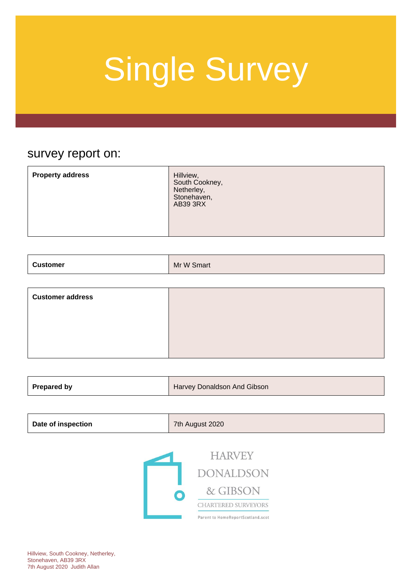### survey report on:

| <b>Property address</b> | Hillview,<br>South Cookney,<br>Netherley,<br>Stonehaven,<br>AB39 3RX |
|-------------------------|----------------------------------------------------------------------|
|-------------------------|----------------------------------------------------------------------|

| <b>Customer</b> | Mr W Smart |
|-----------------|------------|
|-----------------|------------|

| <b>Customer address</b> |  |
|-------------------------|--|
|                         |  |
|                         |  |
|                         |  |

| <b>Prepared by</b><br>Harvey Donaldson And Gibson |
|---------------------------------------------------|
|---------------------------------------------------|

| <b>Date of inspection</b> | 7th August 2020 |
|---------------------------|-----------------|
|---------------------------|-----------------|

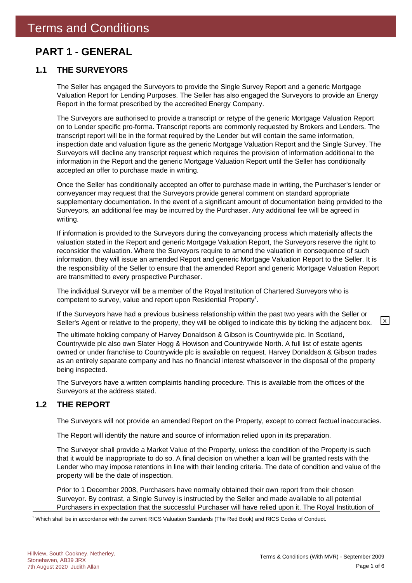### **PART 1 - GENERAL**

#### **1.1 THE SURVEYORS**

The Seller has engaged the Surveyors to provide the Single Survey Report and a generic Mortgage Valuation Report for Lending Purposes. The Seller has also engaged the Surveyors to provide an Energy Report in the format prescribed by the accredited Energy Company.

The Surveyors are authorised to provide a transcript or retype of the generic Mortgage Valuation Report on to Lender specific pro-forma. Transcript reports are commonly requested by Brokers and Lenders. The transcript report will be in the format required by the Lender but will contain the same information, inspection date and valuation figure as the generic Mortgage Valuation Report and the Single Survey. The Surveyors will decline any transcript request which requires the provision of information additional to the information in the Report and the generic Mortgage Valuation Report until the Seller has conditionally accepted an offer to purchase made in writing.

Once the Seller has conditionally accepted an offer to purchase made in writing, the Purchaser's lender or conveyancer may request that the Surveyors provide general comment on standard appropriate supplementary documentation. In the event of a significant amount of documentation being provided to the Surveyors, an additional fee may be incurred by the Purchaser. Any additional fee will be agreed in writing.

If information is provided to the Surveyors during the conveyancing process which materially affects the valuation stated in the Report and generic Mortgage Valuation Report, the Surveyors reserve the right to reconsider the valuation. Where the Surveyors require to amend the valuation in consequence of such information, they will issue an amended Report and generic Mortgage Valuation Report to the Seller. It is the responsibility of the Seller to ensure that the amended Report and generic Mortgage Valuation Report are transmitted to every prospective Purchaser.

The individual Surveyor will be a member of the Royal Institution of Chartered Surveyors who is competent to survey, value and report upon Residential Property<sup>1</sup>.

If the Surveyors have had a previous business relationship within the past two years with the Seller or Seller's Agent or relative to the property, they will be obliged to indicate this by ticking the adjacent box.  $\boxed{\times}$ 

The ultimate holding company of Harvey Donaldson & Gibson is Countrywide plc. In Scotland, Countrywide plc also own Slater Hogg & Howison and Countrywide North. A full list of estate agents owned or under franchise to Countrywide plc is available on request. Harvey Donaldson & Gibson trades as an entirely separate company and has no financial interest whatsoever in the disposal of the property being inspected.

The Surveyors have a written complaints handling procedure. This is available from the offices of the Surveyors at the address stated.

#### **1.2 THE REPORT**

The Surveyors will not provide an amended Report on the Property, except to correct factual inaccuracies.

The Report will identify the nature and source of information relied upon in its preparation.

The Surveyor shall provide a Market Value of the Property, unless the condition of the Property is such that it would be inappropriate to do so. A final decision on whether a loan will be granted rests with the Lender who may impose retentions in line with their lending criteria. The date of condition and value of the property will be the date of inspection.

Prior to 1 December 2008, Purchasers have normally obtained their own report from their chosen Surveyor. By contrast, a Single Survey is instructed by the Seller and made available to all potential Purchasers in expectation that the successful Purchaser will have relied upon it. The Royal Institution of

1 Which shall be in accordance with the current RICS Valuation Standards (The Red Book) and RICS Codes of Conduct.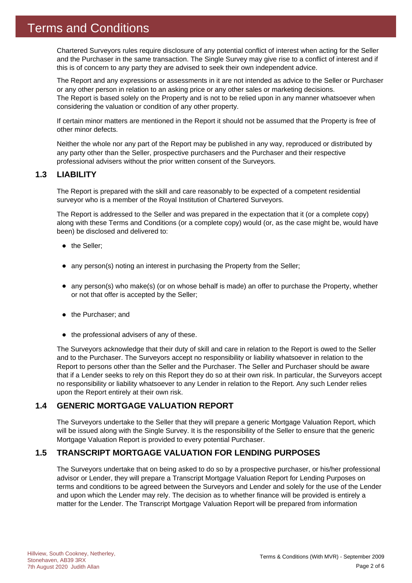Chartered Surveyors rules require disclosure of any potential conflict of interest when acting for the Seller and the Purchaser in the same transaction. The Single Survey may give rise to a conflict of interest and if this is of concern to any party they are advised to seek their own independent advice.

The Report and any expressions or assessments in it are not intended as advice to the Seller or Purchaser or any other person in relation to an asking price or any other sales or marketing decisions. The Report is based solely on the Property and is not to be relied upon in any manner whatsoever when considering the valuation or condition of any other property.

If certain minor matters are mentioned in the Report it should not be assumed that the Property is free of other minor defects.

Neither the whole nor any part of the Report may be published in any way, reproduced or distributed by any party other than the Seller, prospective purchasers and the Purchaser and their respective professional advisers without the prior written consent of the Surveyors.

#### **1.3 LIABILITY**

The Report is prepared with the skill and care reasonably to be expected of a competent residential surveyor who is a member of the Royal Institution of Chartered Surveyors.

The Report is addressed to the Seller and was prepared in the expectation that it (or a complete copy) along with these Terms and Conditions (or a complete copy) would (or, as the case might be, would have been) be disclosed and delivered to:

- the Seller;
- any person(s) noting an interest in purchasing the Property from the Seller;
- any person(s) who make(s) (or on whose behalf is made) an offer to purchase the Property, whether or not that offer is accepted by the Seller;
- the Purchaser; and
- $\bullet$  the professional advisers of any of these.

The Surveyors acknowledge that their duty of skill and care in relation to the Report is owed to the Seller and to the Purchaser. The Surveyors accept no responsibility or liability whatsoever in relation to the Report to persons other than the Seller and the Purchaser. The Seller and Purchaser should be aware that if a Lender seeks to rely on this Report they do so at their own risk. In particular, the Surveyors accept no responsibility or liability whatsoever to any Lender in relation to the Report. Any such Lender relies upon the Report entirely at their own risk.

#### **1.4 GENERIC MORTGAGE VALUATION REPORT**

The Surveyors undertake to the Seller that they will prepare a generic Mortgage Valuation Report, which will be issued along with the Single Survey. It is the responsibility of the Seller to ensure that the generic Mortgage Valuation Report is provided to every potential Purchaser.

#### **1.5 TRANSCRIPT MORTGAGE VALUATION FOR LENDING PURPOSES**

The Surveyors undertake that on being asked to do so by a prospective purchaser, or his/her professional advisor or Lender, they will prepare a Transcript Mortgage Valuation Report for Lending Purposes on terms and conditions to be agreed between the Surveyors and Lender and solely for the use of the Lender and upon which the Lender may rely. The decision as to whether finance will be provided is entirely a matter for the Lender. The Transcript Mortgage Valuation Report will be prepared from information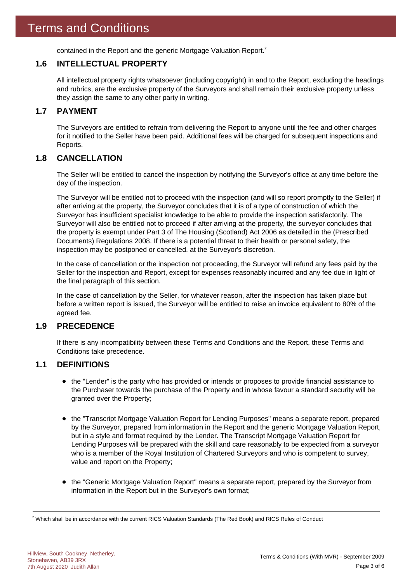contained in the Report and the generic Mortgage Valuation Report.<sup>2</sup>

#### **1.6 INTELLECTUAL PROPERTY**

All intellectual property rights whatsoever (including copyright) in and to the Report, excluding the headings and rubrics, are the exclusive property of the Surveyors and shall remain their exclusive property unless they assign the same to any other party in writing.

#### **1.7 PAYMENT**

The Surveyors are entitled to refrain from delivering the Report to anyone until the fee and other charges for it notified to the Seller have been paid. Additional fees will be charged for subsequent inspections and Reports.

#### **1.8 CANCELLATION**

The Seller will be entitled to cancel the inspection by notifying the Surveyor's office at any time before the day of the inspection.

The Surveyor will be entitled not to proceed with the inspection (and will so report promptly to the Seller) if after arriving at the property, the Surveyor concludes that it is of a type of construction of which the Surveyor has insufficient specialist knowledge to be able to provide the inspection satisfactorily. The Surveyor will also be entitled not to proceed if after arriving at the property, the surveyor concludes that the property is exempt under Part 3 of The Housing (Scotland) Act 2006 as detailed in the (Prescribed Documents) Regulations 2008. If there is a potential threat to their health or personal safety, the inspection may be postponed or cancelled, at the Surveyor's discretion.

In the case of cancellation or the inspection not proceeding, the Surveyor will refund any fees paid by the Seller for the inspection and Report, except for expenses reasonably incurred and any fee due in light of the final paragraph of this section.

In the case of cancellation by the Seller, for whatever reason, after the inspection has taken place but before a written report is issued, the Surveyor will be entitled to raise an invoice equivalent to 80% of the agreed fee.

#### **1.9 PRECEDENCE**

If there is any incompatibility between these Terms and Conditions and the Report, these Terms and Conditions take precedence.

#### **1.1 DEFINITIONS**

- the "Lender" is the party who has provided or intends or proposes to provide financial assistance to the Purchaser towards the purchase of the Property and in whose favour a standard security will be granted over the Property;
- the "Transcript Mortgage Valuation Report for Lending Purposes" means a separate report, prepared by the Surveyor, prepared from information in the Report and the generic Mortgage Valuation Report, but in a style and format required by the Lender. The Transcript Mortgage Valuation Report for Lending Purposes will be prepared with the skill and care reasonably to be expected from a surveyor who is a member of the Royal Institution of Chartered Surveyors and who is competent to survey, value and report on the Property;
- the "Generic Mortgage Valuation Report" means a separate report, prepared by the Surveyor from information in the Report but in the Surveyor's own format;

 $^2$  Which shall be in accordance with the current RICS Valuation Standards (The Red Book) and RICS Rules of Conduct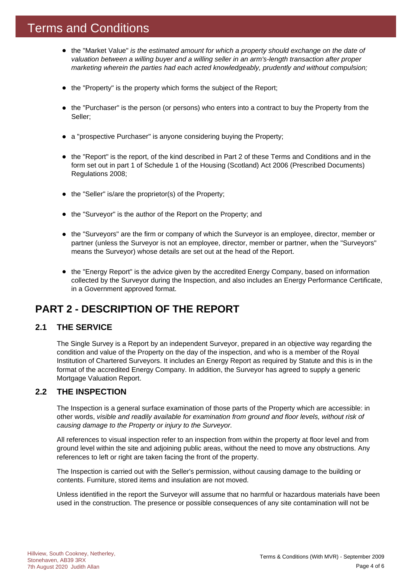### Terms and Conditions

- the "Market Value" *is the estimated amount for which a property should exchange on the date of valuation between a willing buyer and a willing seller in an arm's-length transaction after proper marketing wherein the parties had each acted knowledgeably, prudently and without compulsion;*
- the "Property" is the property which forms the subject of the Report;
- the "Purchaser" is the person (or persons) who enters into a contract to buy the Property from the Seller;
- a "prospective Purchaser" is anyone considering buying the Property;
- the "Report" is the report, of the kind described in Part 2 of these Terms and Conditions and in the form set out in part 1 of Schedule 1 of the Housing (Scotland) Act 2006 (Prescribed Documents) Regulations 2008;
- $\bullet$  the "Seller" is/are the proprietor(s) of the Property;
- the "Surveyor" is the author of the Report on the Property; and
- the "Surveyors" are the firm or company of which the Surveyor is an employee, director, member or partner (unless the Surveyor is not an employee, director, member or partner, when the "Surveyors" means the Surveyor) whose details are set out at the head of the Report.
- the "Energy Report" is the advice given by the accredited Energy Company, based on information collected by the Surveyor during the Inspection, and also includes an Energy Performance Certificate, in a Government approved format.

### **PART 2 - DESCRIPTION OF THE REPORT**

#### **2.1 THE SERVICE**

The Single Survey is a Report by an independent Surveyor, prepared in an objective way regarding the condition and value of the Property on the day of the inspection, and who is a member of the Royal Institution of Chartered Surveyors. It includes an Energy Report as required by Statute and this is in the format of the accredited Energy Company. In addition, the Surveyor has agreed to supply a generic Mortgage Valuation Report.

#### **2.2 THE INSPECTION**

The Inspection is a general surface examination of those parts of the Property which are accessible: in other words, *visible and readily available for examination from ground and floor levels, without risk of causing damage to the Property or injury to the Surveyor.*

All references to visual inspection refer to an inspection from within the property at floor level and from ground level within the site and adjoining public areas, without the need to move any obstructions. Any references to left or right are taken facing the front of the property.

The Inspection is carried out with the Seller's permission, without causing damage to the building or contents. Furniture, stored items and insulation are not moved.

Unless identified in the report the Surveyor will assume that no harmful or hazardous materials have been used in the construction. The presence or possible consequences of any site contamination will not be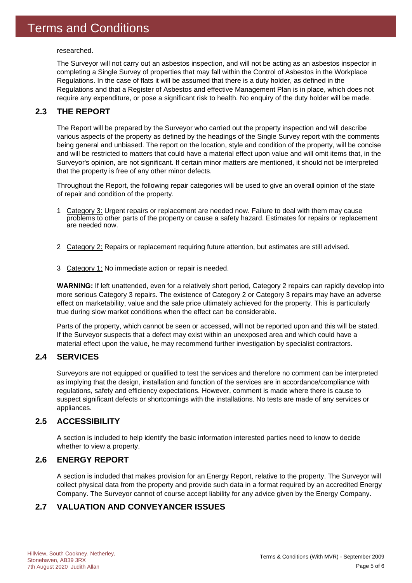researched.

The Surveyor will not carry out an asbestos inspection, and will not be acting as an asbestos inspector in completing a Single Survey of properties that may fall within the Control of Asbestos in the Workplace Regulations. In the case of flats it will be assumed that there is a duty holder, as defined in the Regulations and that a Register of Asbestos and effective Management Plan is in place, which does not require any expenditure, or pose a significant risk to health. No enquiry of the duty holder will be made.

#### **2.3 THE REPORT**

The Report will be prepared by the Surveyor who carried out the property inspection and will describe various aspects of the property as defined by the headings of the Single Survey report with the comments being general and unbiased. The report on the location, style and condition of the property, will be concise and will be restricted to matters that could have a material effect upon value and will omit items that, in the Surveyor's opinion, are not significant. If certain minor matters are mentioned, it should not be interpreted that the property is free of any other minor defects.

Throughout the Report, the following repair categories will be used to give an overall opinion of the state of repair and condition of the property.

- 1 Category 3: Urgent repairs or replacement are needed now. Failure to deal with them may cause problems to other parts of the property or cause a safety hazard. Estimates for repairs or replacement are needed now.
- 2 Category 2: Repairs or replacement requiring future attention, but estimates are still advised.
- 3 Category 1: No immediate action or repair is needed.

**WARNING:** If left unattended, even for a relatively short period, Category 2 repairs can rapidly develop into more serious Category 3 repairs. The existence of Category 2 or Category 3 repairs may have an adverse effect on marketability, value and the sale price ultimately achieved for the property. This is particularly true during slow market conditions when the effect can be considerable.

Parts of the property, which cannot be seen or accessed, will not be reported upon and this will be stated. If the Surveyor suspects that a defect may exist within an unexposed area and which could have a material effect upon the value, he may recommend further investigation by specialist contractors.

#### **2.4 SERVICES**

Surveyors are not equipped or qualified to test the services and therefore no comment can be interpreted as implying that the design, installation and function of the services are in accordance/compliance with regulations, safety and efficiency expectations. However, comment is made where there is cause to suspect significant defects or shortcomings with the installations. No tests are made of any services or appliances.

#### **2.5 ACCESSIBILITY**

A section is included to help identify the basic information interested parties need to know to decide whether to view a property.

#### **2.6 ENERGY REPORT**

A section is included that makes provision for an Energy Report, relative to the property. The Surveyor will collect physical data from the property and provide such data in a format required by an accredited Energy Company. The Surveyor cannot of course accept liability for any advice given by the Energy Company.

#### **2.7 VALUATION AND CONVEYANCER ISSUES**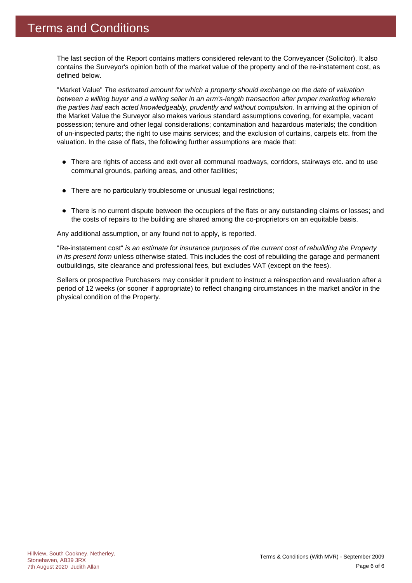The last section of the Report contains matters considered relevant to the Conveyancer (Solicitor). It also contains the Surveyor's opinion both of the market value of the property and of the re-instatement cost, as defined below.

"Market Value" *The estimated amount for which a property should exchange on the date of valuation between a willing buyer and a willing seller in an arm's-length transaction after proper marketing wherein the parties had each acted knowledgeably, prudently and without compulsion.* In arriving at the opinion of the Market Value the Surveyor also makes various standard assumptions covering, for example, vacant possession; tenure and other legal considerations; contamination and hazardous materials; the condition of un-inspected parts; the right to use mains services; and the exclusion of curtains, carpets etc. from the valuation. In the case of flats, the following further assumptions are made that:

- There are rights of access and exit over all communal roadways, corridors, stairways etc. and to use communal grounds, parking areas, and other facilities;
- There are no particularly troublesome or unusual legal restrictions;
- There is no current dispute between the occupiers of the flats or any outstanding claims or losses; and the costs of repairs to the building are shared among the co-proprietors on an equitable basis.

Any additional assumption, or any found not to apply, is reported.

"Re-instatement cost" *is an estimate for insurance purposes of the current cost of rebuilding the Property in its present form* unless otherwise stated. This includes the cost of rebuilding the garage and permanent outbuildings, site clearance and professional fees, but excludes VAT (except on the fees).

Sellers or prospective Purchasers may consider it prudent to instruct a reinspection and revaluation after a period of 12 weeks (or sooner if appropriate) to reflect changing circumstances in the market and/or in the physical condition of the Property.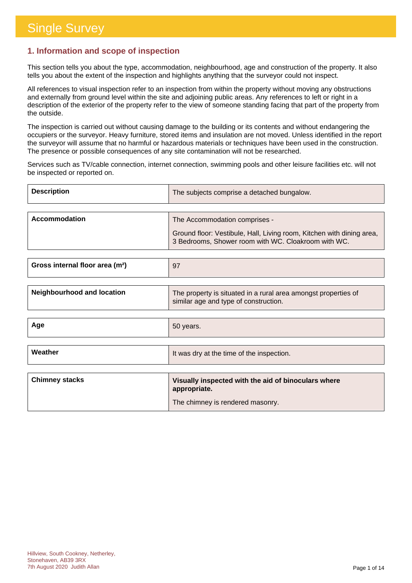#### **1. Information and scope of inspection**

This section tells you about the type, accommodation, neighbourhood, age and construction of the property. It also tells you about the extent of the inspection and highlights anything that the surveyor could not inspect.

All references to visual inspection refer to an inspection from within the property without moving any obstructions and externally from ground level within the site and adjoining public areas. Any references to left or right in a description of the exterior of the property refer to the view of someone standing facing that part of the property from the outside.

The inspection is carried out without causing damage to the building or its contents and without endangering the occupiers or the surveyor. Heavy furniture, stored items and insulation are not moved. Unless identified in the report the surveyor will assume that no harmful or hazardous materials or techniques have been used in the construction. The presence or possible consequences of any site contamination will not be researched.

Services such as TV/cable connection, internet connection, swimming pools and other leisure facilities etc. will not be inspected or reported on.

| <b>Description</b> | The subjects comprise a detached bungalow.                                                                                   |
|--------------------|------------------------------------------------------------------------------------------------------------------------------|
|                    |                                                                                                                              |
| Accommodation      | The Accommodation comprises -                                                                                                |
|                    | Ground floor: Vestibule, Hall, Living room, Kitchen with dining area,<br>3 Bedrooms, Shower room with WC. Cloakroom with WC. |

| Gross internal floor area (m <sup>2</sup> ) |  |
|---------------------------------------------|--|
|                                             |  |

| similar age and type of construction. | <b>Neighbourhood and location</b> | The property is situated in a rural area amongst properties of |
|---------------------------------------|-----------------------------------|----------------------------------------------------------------|
|---------------------------------------|-----------------------------------|----------------------------------------------------------------|

| Age | $\frac{1}{2}$ 50 years. |
|-----|-------------------------|
|     |                         |

| Weather               | It was dry at the time of the inspection.                           |
|-----------------------|---------------------------------------------------------------------|
|                       |                                                                     |
| <b>Chimney stacks</b> | Visually inspected with the aid of binoculars where<br>appropriate. |
|                       | The chimney is rendered masonry.                                    |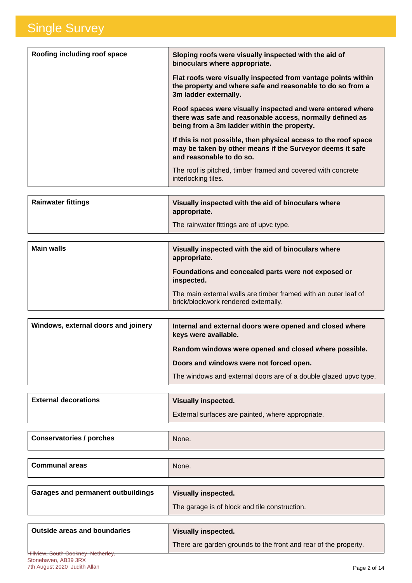| Roofing including roof space | Sloping roofs were visually inspected with the aid of<br>binoculars where appropriate.                                                                                 |
|------------------------------|------------------------------------------------------------------------------------------------------------------------------------------------------------------------|
|                              | Flat roofs were visually inspected from vantage points within<br>the property and where safe and reasonable to do so from a<br>3m ladder externally.                   |
|                              | Roof spaces were visually inspected and were entered where<br>there was safe and reasonable access, normally defined as<br>being from a 3m ladder within the property. |
|                              | If this is not possible, then physical access to the roof space<br>may be taken by other means if the Surveyor deems it safe<br>and reasonable to do so.               |
|                              | The roof is pitched, timber framed and covered with concrete<br>interlocking tiles.                                                                                    |

| <b>Rainwater fittings</b> | Visually inspected with the aid of binoculars where<br>appropriate. |
|---------------------------|---------------------------------------------------------------------|
|                           | The rainwater fittings are of upvc type.                            |

| <b>Main walls</b> | Visually inspected with the aid of binoculars where<br>appropriate.                                     |
|-------------------|---------------------------------------------------------------------------------------------------------|
|                   | Foundations and concealed parts were not exposed or<br>inspected.                                       |
|                   | The main external walls are timber framed with an outer leaf of<br>brick/blockwork rendered externally. |

| Windows, external doors and joinery | Internal and external doors were opened and closed where<br>keys were available. |
|-------------------------------------|----------------------------------------------------------------------------------|
|                                     | Random windows were opened and closed where possible.                            |
|                                     | Doors and windows were not forced open.                                          |
|                                     | The windows and external doors are of a double glazed upvc type.                 |

| <b>External decorations</b> | <b>Visually inspected.</b>                        |
|-----------------------------|---------------------------------------------------|
|                             | External surfaces are painted, where appropriate. |

| Conservatories / porches | None. |
|--------------------------|-------|
|                          |       |

| <b>Communal areas</b> | None. |
|-----------------------|-------|
|-----------------------|-------|

| Garages and permanent outbuildings | <b>Visually inspected.</b>                    |
|------------------------------------|-----------------------------------------------|
|                                    | The garage is of block and tile construction. |
|                                    |                                               |

| Outside areas and boundaries               | <b>Visually inspected.</b>                                      |
|--------------------------------------------|-----------------------------------------------------------------|
|                                            | There are garden grounds to the front and rear of the property. |
| <b>Hillview, South Cookney, Netherley,</b> |                                                                 |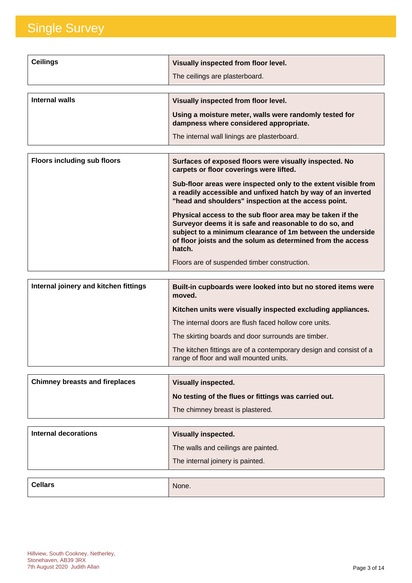| <b>Ceilings</b> | Visually inspected from floor level.                   |
|-----------------|--------------------------------------------------------|
|                 | The ceilings are plasterboard.                         |
| Internal walls  | Visually inspected from floor level.                   |
|                 |                                                        |
|                 | Using a moisture meter, walls were randomly tested for |
|                 | dampness where considered appropriate.                 |
|                 | The internal wall linings are plasterboard.            |

| <b>Floors including sub floors</b> | Surfaces of exposed floors were visually inspected. No<br>carpets or floor coverings were lifted.                                                                                                                                                          |
|------------------------------------|------------------------------------------------------------------------------------------------------------------------------------------------------------------------------------------------------------------------------------------------------------|
|                                    | Sub-floor areas were inspected only to the extent visible from<br>a readily accessible and unfixed hatch by way of an inverted<br>"head and shoulders" inspection at the access point.                                                                     |
|                                    | Physical access to the sub floor area may be taken if the<br>Surveyor deems it is safe and reasonable to do so, and<br>subject to a minimum clearance of 1m between the underside<br>of floor joists and the solum as determined from the access<br>hatch. |
|                                    | Floors are of suspended timber construction.                                                                                                                                                                                                               |

| Internal joinery and kitchen fittings | Built-in cupboards were looked into but no stored items were<br>moved.                                       |
|---------------------------------------|--------------------------------------------------------------------------------------------------------------|
|                                       | Kitchen units were visually inspected excluding appliances.                                                  |
|                                       | The internal doors are flush faced hollow core units.                                                        |
|                                       | The skirting boards and door surrounds are timber.                                                           |
|                                       | The kitchen fittings are of a contemporary design and consist of a<br>range of floor and wall mounted units. |

| <b>Chimney breasts and fireplaces</b> | <b>Visually inspected.</b>                           |
|---------------------------------------|------------------------------------------------------|
|                                       | No testing of the flues or fittings was carried out. |
|                                       | The chimney breast is plastered.                     |

| Internal decorations | <b>Visually inspected.</b>          |
|----------------------|-------------------------------------|
|                      | The walls and ceilings are painted. |
|                      | The internal joinery is painted.    |

| <b>Cellars</b> | None. |
|----------------|-------|
|                |       |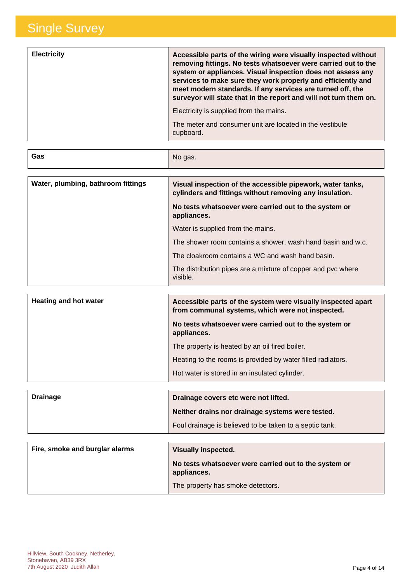| <b>Electricity</b> | Accessible parts of the wiring were visually inspected without<br>removing fittings. No tests whatsoever were carried out to the<br>system or appliances. Visual inspection does not assess any<br>services to make sure they work properly and efficiently and<br>meet modern standards. If any services are turned off, the<br>surveyor will state that in the report and will not turn them on. |
|--------------------|----------------------------------------------------------------------------------------------------------------------------------------------------------------------------------------------------------------------------------------------------------------------------------------------------------------------------------------------------------------------------------------------------|
|                    | Electricity is supplied from the mains.                                                                                                                                                                                                                                                                                                                                                            |
|                    | The meter and consumer unit are located in the vestibule<br>cupboard.                                                                                                                                                                                                                                                                                                                              |

| Gas                                | No gas.                                                                                                               |
|------------------------------------|-----------------------------------------------------------------------------------------------------------------------|
|                                    |                                                                                                                       |
| Water, plumbing, bathroom fittings | Visual inspection of the accessible pipework, water tanks,<br>cylinders and fittings without removing any insulation. |
|                                    | No tests whatsoever were carried out to the system or<br>appliances.                                                  |
|                                    | Water is supplied from the mains.                                                                                     |
|                                    | The shower room contains a shower, wash hand basin and w.c.                                                           |
|                                    | The cloakroom contains a WC and wash hand basin.                                                                      |
|                                    | The distribution pipes are a mixture of copper and pvc where<br>visible.                                              |
|                                    |                                                                                                                       |

| <b>Heating and hot water</b> | Accessible parts of the system were visually inspected apart<br>from communal systems, which were not inspected. |
|------------------------------|------------------------------------------------------------------------------------------------------------------|
|                              | No tests whatsoever were carried out to the system or<br>appliances.                                             |
|                              | The property is heated by an oil fired boiler.                                                                   |
|                              | Heating to the rooms is provided by water filled radiators.                                                      |
|                              | Hot water is stored in an insulated cylinder.                                                                    |

| <b>Drainage</b> | Drainage covers etc were not lifted.                    |
|-----------------|---------------------------------------------------------|
|                 | Neither drains nor drainage systems were tested.        |
|                 | Foul drainage is believed to be taken to a septic tank. |

| Fire, smoke and burglar alarms | Visually inspected.                                                  |
|--------------------------------|----------------------------------------------------------------------|
|                                | No tests whatsoever were carried out to the system or<br>appliances. |
|                                | The property has smoke detectors.                                    |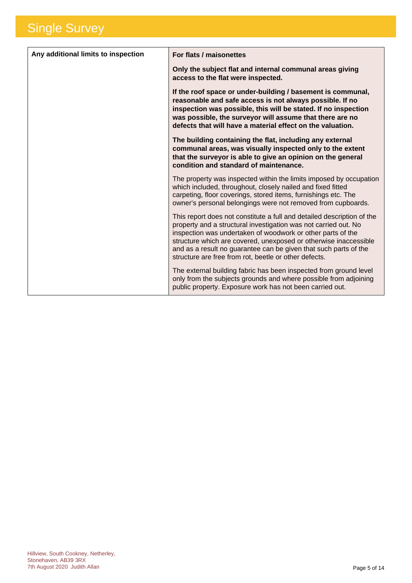| Any additional limits to inspection | For flats / maisonettes                                                                                                                                                                                                                                                                                                                                                                                   |
|-------------------------------------|-----------------------------------------------------------------------------------------------------------------------------------------------------------------------------------------------------------------------------------------------------------------------------------------------------------------------------------------------------------------------------------------------------------|
|                                     | Only the subject flat and internal communal areas giving<br>access to the flat were inspected.                                                                                                                                                                                                                                                                                                            |
|                                     | If the roof space or under-building / basement is communal,<br>reasonable and safe access is not always possible. If no<br>inspection was possible, this will be stated. If no inspection<br>was possible, the surveyor will assume that there are no<br>defects that will have a material effect on the valuation.                                                                                       |
|                                     | The building containing the flat, including any external<br>communal areas, was visually inspected only to the extent<br>that the surveyor is able to give an opinion on the general<br>condition and standard of maintenance.                                                                                                                                                                            |
|                                     | The property was inspected within the limits imposed by occupation<br>which included, throughout, closely nailed and fixed fitted<br>carpeting, floor coverings, stored items, furnishings etc. The<br>owner's personal belongings were not removed from cupboards.                                                                                                                                       |
|                                     | This report does not constitute a full and detailed description of the<br>property and a structural investigation was not carried out. No<br>inspection was undertaken of woodwork or other parts of the<br>structure which are covered, unexposed or otherwise inaccessible<br>and as a result no guarantee can be given that such parts of the<br>structure are free from rot, beetle or other defects. |
|                                     | The external building fabric has been inspected from ground level<br>only from the subjects grounds and where possible from adjoining<br>public property. Exposure work has not been carried out.                                                                                                                                                                                                         |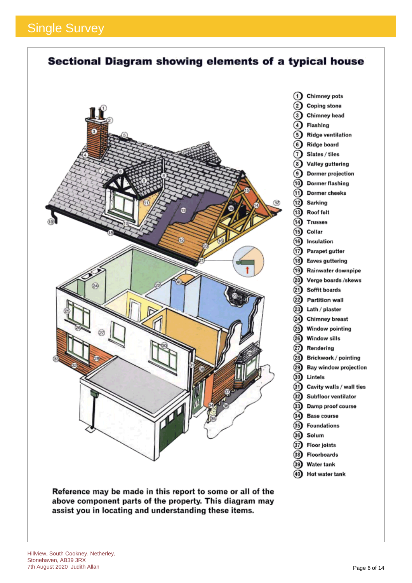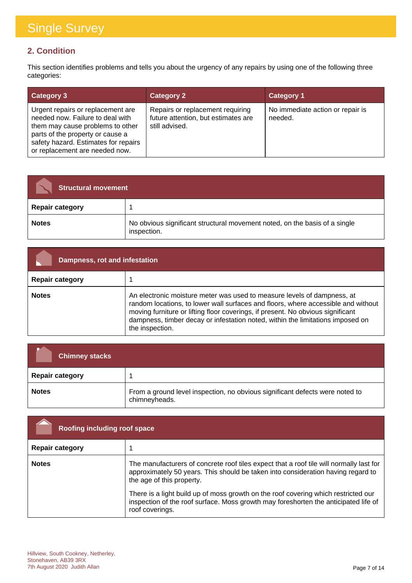#### **2. Condition**

This section identifies problems and tells you about the urgency of any repairs by using one of the following three categories:

| <b>Category 3</b>                                                                                                                                                                                                       | <b>Category 2</b>                                                                         | <b>Category 1</b>                           |
|-------------------------------------------------------------------------------------------------------------------------------------------------------------------------------------------------------------------------|-------------------------------------------------------------------------------------------|---------------------------------------------|
| Urgent repairs or replacement are<br>needed now. Failure to deal with<br>them may cause problems to other<br>parts of the property or cause a<br>safety hazard. Estimates for repairs<br>or replacement are needed now. | Repairs or replacement requiring<br>future attention, but estimates are<br>still advised. | No immediate action or repair is<br>needed. |

| <b>Structural movement</b> |                                                                                           |
|----------------------------|-------------------------------------------------------------------------------------------|
| <b>Repair category</b>     |                                                                                           |
| <b>Notes</b>               | No obvious significant structural movement noted, on the basis of a single<br>inspection. |

| Dampness, rot and infestation |                                                                                                                                                                                                                                                                                                                                                      |
|-------------------------------|------------------------------------------------------------------------------------------------------------------------------------------------------------------------------------------------------------------------------------------------------------------------------------------------------------------------------------------------------|
| <b>Repair category</b>        |                                                                                                                                                                                                                                                                                                                                                      |
| <b>Notes</b>                  | An electronic moisture meter was used to measure levels of dampness, at<br>random locations, to lower wall surfaces and floors, where accessible and without<br>moving furniture or lifting floor coverings, if present. No obvious significant<br>dampness, timber decay or infestation noted, within the limitations imposed on<br>the inspection. |

| Chimney stacks         |                                                                                               |
|------------------------|-----------------------------------------------------------------------------------------------|
| <b>Repair category</b> |                                                                                               |
| <b>Notes</b>           | From a ground level inspection, no obvious significant defects were noted to<br>chimneyheads. |

| Roofing including roof space |                                                                                                                                                                                                                                                                                                                                                                                                          |
|------------------------------|----------------------------------------------------------------------------------------------------------------------------------------------------------------------------------------------------------------------------------------------------------------------------------------------------------------------------------------------------------------------------------------------------------|
| <b>Repair category</b>       |                                                                                                                                                                                                                                                                                                                                                                                                          |
| <b>Notes</b>                 | The manufacturers of concrete roof tiles expect that a roof tile will normally last for<br>approximately 50 years. This should be taken into consideration having regard to<br>the age of this property.<br>There is a light build up of moss growth on the roof covering which restricted our<br>inspection of the roof surface. Moss growth may foreshorten the anticipated life of<br>roof coverings. |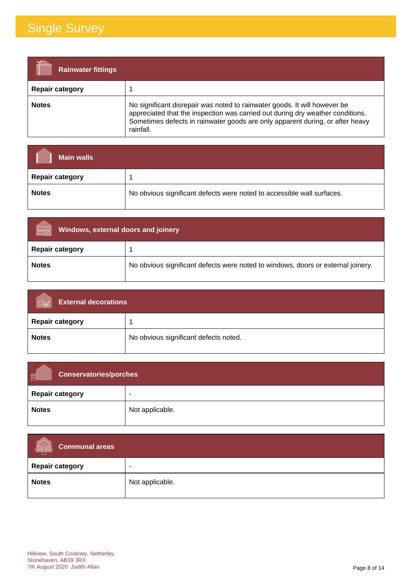| <b>Rainwater fittings</b> |                                                                                                                                                                                                                                                           |
|---------------------------|-----------------------------------------------------------------------------------------------------------------------------------------------------------------------------------------------------------------------------------------------------------|
| <b>Repair category</b>    |                                                                                                                                                                                                                                                           |
| <b>Notes</b>              | No significant disrepair was noted to rainwater goods. It will however be<br>appreciated that the inspection was carried out during dry weather conditions.<br>Sometimes defects in rainwater goods are only apparent during, or after heavy<br>rainfall. |

| <b>Main walls</b>      |                                                                        |
|------------------------|------------------------------------------------------------------------|
| <b>Repair category</b> |                                                                        |
| <b>Notes</b>           | No obvious significant defects were noted to accessible wall surfaces. |

| Windows, external doors and joinery |                                                                                  |
|-------------------------------------|----------------------------------------------------------------------------------|
| <b>Repair category</b>              |                                                                                  |
| <b>Notes</b>                        | No obvious significant defects were noted to windows, doors or external joinery. |

| <b>External decorations</b> |                                       |
|-----------------------------|---------------------------------------|
| <b>Repair category</b>      |                                       |
| <b>Notes</b>                | No obvious significant defects noted. |

| 画<br><b>Conservatories/porches</b> |                          |
|------------------------------------|--------------------------|
| <b>Repair category</b>             | $\overline{\phantom{0}}$ |
| <b>Notes</b>                       | Not applicable.          |

| Communal areas<br><b>LARES</b> |                 |
|--------------------------------|-----------------|
| <b>Repair category</b>         | ۰               |
| <b>Notes</b>                   | Not applicable. |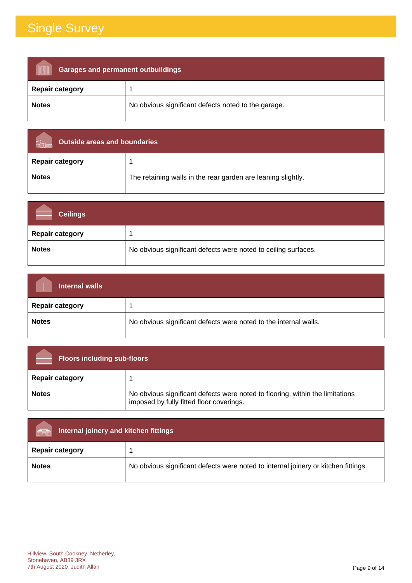| <b>Garages and permanent outbuildings</b> |                                                     |
|-------------------------------------------|-----------------------------------------------------|
| <b>Repair category</b>                    |                                                     |
| <b>Notes</b>                              | No obvious significant defects noted to the garage. |

| Outside areas and boundaries |                                                              |
|------------------------------|--------------------------------------------------------------|
| <b>Repair category</b>       |                                                              |
| <b>Notes</b>                 | The retaining walls in the rear garden are leaning slightly. |

| <b>Ceilings</b>        |                                                                |
|------------------------|----------------------------------------------------------------|
| <b>Repair category</b> |                                                                |
| <b>Notes</b>           | No obvious significant defects were noted to ceiling surfaces. |

| Internal walls         |                                                                  |
|------------------------|------------------------------------------------------------------|
| <b>Repair category</b> |                                                                  |
| <b>Notes</b>           | No obvious significant defects were noted to the internal walls. |

| <b>Floors including sub-floors</b> |                                                                                                                           |
|------------------------------------|---------------------------------------------------------------------------------------------------------------------------|
| <b>Repair category</b>             |                                                                                                                           |
| <b>Notes</b>                       | No obvious significant defects were noted to flooring, within the limitations<br>imposed by fully fitted floor coverings. |

| Internal joinery and kitchen fittings<br>man |                                                                                    |
|----------------------------------------------|------------------------------------------------------------------------------------|
| <b>Repair category</b>                       |                                                                                    |
| <b>Notes</b>                                 | No obvious significant defects were noted to internal joinery or kitchen fittings. |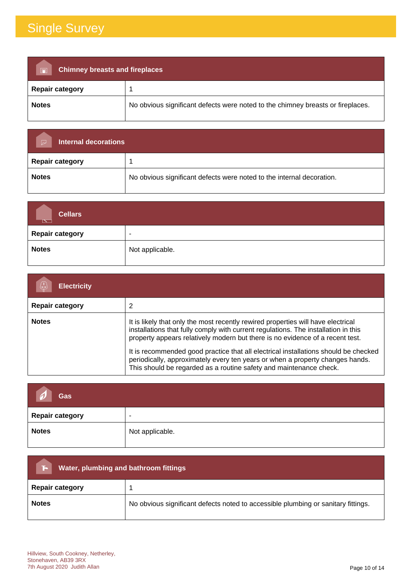| <b>Chimney breasts and fireplaces</b><br>$\overline{\blacksquare}$ |                                                                                 |  |
|--------------------------------------------------------------------|---------------------------------------------------------------------------------|--|
| <b>Repair category</b>                                             |                                                                                 |  |
| <b>Notes</b>                                                       | No obvious significant defects were noted to the chimney breasts or fireplaces. |  |

| <b>Internal decorations</b><br>$\overline{\smash{\sim}}$ |                                                                       |
|----------------------------------------------------------|-----------------------------------------------------------------------|
| <b>Repair category</b>                                   |                                                                       |
| <b>Notes</b>                                             | No obvious significant defects were noted to the internal decoration. |

| <b>Cellars</b><br>$\overline{\mathbb{R}}$ |                          |
|-------------------------------------------|--------------------------|
| <b>Repair category</b>                    | $\overline{\phantom{a}}$ |
| <b>Notes</b>                              | Not applicable.          |

| <b>Electricity</b>     |                                                                                                                                                                                                                                                                                                                                                                                                                                                                                                       |
|------------------------|-------------------------------------------------------------------------------------------------------------------------------------------------------------------------------------------------------------------------------------------------------------------------------------------------------------------------------------------------------------------------------------------------------------------------------------------------------------------------------------------------------|
| <b>Repair category</b> | 2                                                                                                                                                                                                                                                                                                                                                                                                                                                                                                     |
| <b>Notes</b>           | It is likely that only the most recently rewired properties will have electrical<br>installations that fully comply with current regulations. The installation in this<br>property appears relatively modern but there is no evidence of a recent test.<br>It is recommended good practice that all electrical installations should be checked<br>periodically, approximately every ten years or when a property changes hands.<br>This should be regarded as a routine safety and maintenance check. |

| Gas                    |                          |
|------------------------|--------------------------|
| <b>Repair category</b> | $\overline{\phantom{a}}$ |
| <b>Notes</b>           | Not applicable.          |

| Water, plumbing and bathroom fittings<br>ъ. |                                                                                   |  |
|---------------------------------------------|-----------------------------------------------------------------------------------|--|
| <b>Repair category</b>                      |                                                                                   |  |
| <b>Notes</b>                                | No obvious significant defects noted to accessible plumbing or sanitary fittings. |  |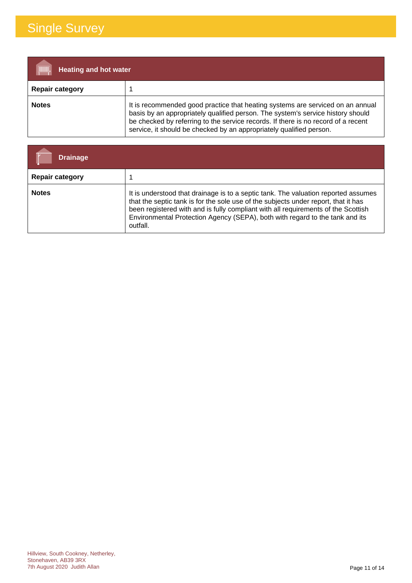| [IIIIII]<br><b>Heating and hot water</b> |                                                                                                                                                                                                                                                                                                                               |
|------------------------------------------|-------------------------------------------------------------------------------------------------------------------------------------------------------------------------------------------------------------------------------------------------------------------------------------------------------------------------------|
| <b>Repair category</b>                   |                                                                                                                                                                                                                                                                                                                               |
| <b>Notes</b>                             | It is recommended good practice that heating systems are serviced on an annual<br>basis by an appropriately qualified person. The system's service history should<br>be checked by referring to the service records. If there is no record of a recent<br>service, it should be checked by an appropriately qualified person. |

| Drainage               |                                                                                                                                                                                                                                                                                                                                                           |
|------------------------|-----------------------------------------------------------------------------------------------------------------------------------------------------------------------------------------------------------------------------------------------------------------------------------------------------------------------------------------------------------|
| <b>Repair category</b> |                                                                                                                                                                                                                                                                                                                                                           |
| <b>Notes</b>           | It is understood that drainage is to a septic tank. The valuation reported assumes<br>that the septic tank is for the sole use of the subjects under report, that it has<br>been registered with and is fully compliant with all requirements of the Scottish<br>Environmental Protection Agency (SEPA), both with regard to the tank and its<br>outfall. |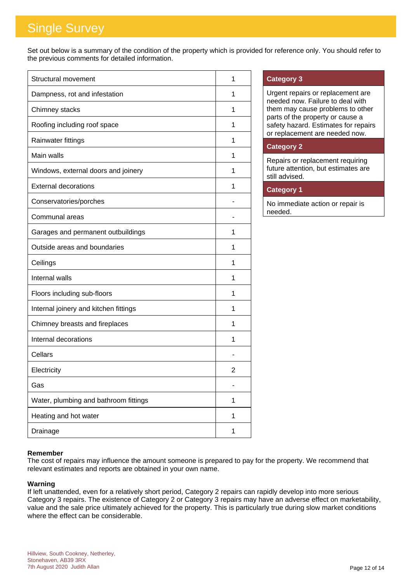Set out below is a summary of the condition of the property which is provided for reference only. You should refer to the previous comments for detailed information.

| Structural movement                   | 1 |
|---------------------------------------|---|
| Dampness, rot and infestation         | 1 |
| Chimney stacks                        | 1 |
| Roofing including roof space          | 1 |
| Rainwater fittings                    | 1 |
| Main walls                            | 1 |
| Windows, external doors and joinery   | 1 |
| <b>External decorations</b>           | 1 |
| Conservatories/porches                |   |
| Communal areas                        |   |
| Garages and permanent outbuildings    | 1 |
| Outside areas and boundaries          | 1 |
| Ceilings                              | 1 |
| Internal walls                        | 1 |
| Floors including sub-floors           | 1 |
| Internal joinery and kitchen fittings | 1 |
| Chimney breasts and fireplaces        | 1 |
| Internal decorations                  | 1 |
| Cellars                               |   |
| Electricity                           | 2 |
| Gas                                   | ٠ |
| Water, plumbing and bathroom fittings | 1 |
| Heating and hot water                 | 1 |
| Drainage                              | 1 |

#### **Category 3**

Urgent repairs or replacement are needed now. Failure to deal with them may cause problems to other parts of the property or cause a safety hazard. Estimates for repairs or replacement are needed now.

#### **Category 2**

Repairs or replacement requiring future attention, but estimates are still advised.

#### **Category 1**

No immediate action or repair is needed.

#### **Remember**

The cost of repairs may influence the amount someone is prepared to pay for the property. We recommend that relevant estimates and reports are obtained in your own name.

#### **Warning**

If left unattended, even for a relatively short period, Category 2 repairs can rapidly develop into more serious Category 3 repairs. The existence of Category 2 or Category 3 repairs may have an adverse effect on marketability, value and the sale price ultimately achieved for the property. This is particularly true during slow market conditions where the effect can be considerable.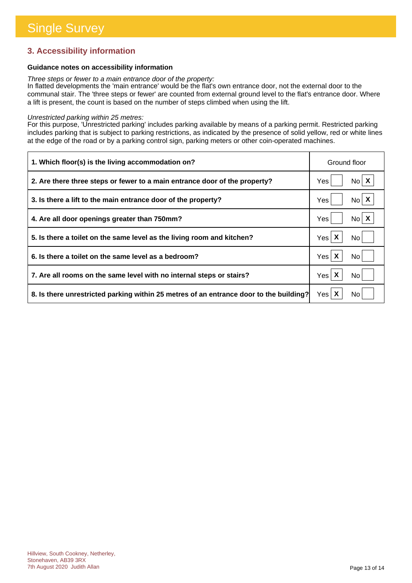#### **3. Accessibility information**

#### **Guidance notes on accessibility information**

*Three steps or fewer to a main entrance door of the property:*

In flatted developments the 'main entrance' would be the flat's own entrance door, not the external door to the communal stair. The 'three steps or fewer' are counted from external ground level to the flat's entrance door. Where a lift is present, the count is based on the number of steps climbed when using the lift.

#### *Unrestricted parking within 25 metres:*

For this purpose, 'Unrestricted parking' includes parking available by means of a parking permit. Restricted parking includes parking that is subject to parking restrictions, as indicated by the presence of solid yellow, red or white lines at the edge of the road or by a parking control sign, parking meters or other coin-operated machines.

| 1. Which floor(s) is the living accommodation on?                                      | Ground floor             |
|----------------------------------------------------------------------------------------|--------------------------|
| 2. Are there three steps or fewer to a main entrance door of the property?             | $No$ $X$<br>Yes          |
| 3. Is there a lift to the main entrance door of the property?                          | $N_0$ $X$<br>Yes         |
| 4. Are all door openings greater than 750mm?                                           | $No$ $X$<br>Yes          |
| 5. Is there a toilet on the same level as the living room and kitchen?                 | Yes $\mathsf{X}$<br>No l |
| 6. Is there a toilet on the same level as a bedroom?                                   | Yes $\mathsf{X}$<br>No.  |
| 7. Are all rooms on the same level with no internal steps or stairs?                   | Yes $\mathsf{X}$<br>No   |
| 8. Is there unrestricted parking within 25 metres of an entrance door to the building? | Yes $\mathsf{X}$<br>No.  |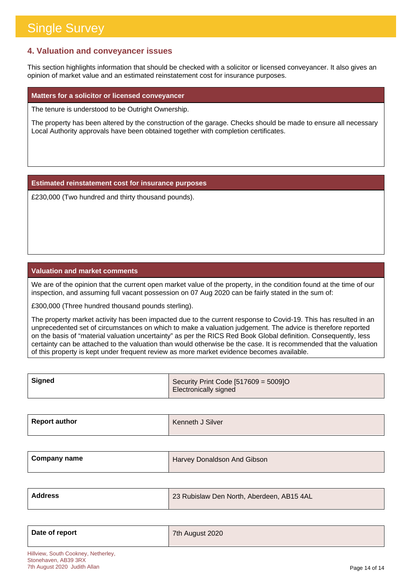#### **4. Valuation and conveyancer issues**

This section highlights information that should be checked with a solicitor or licensed conveyancer. It also gives an opinion of market value and an estimated reinstatement cost for insurance purposes.

#### **Matters for a solicitor or licensed conveyancer**

The tenure is understood to be Outright Ownership.

The property has been altered by the construction of the garage. Checks should be made to ensure all necessary Local Authority approvals have been obtained together with completion certificates.

**Estimated reinstatement cost for insurance purposes**

£230,000 (Two hundred and thirty thousand pounds).

#### **Valuation and market comments**

We are of the opinion that the current open market value of the property, in the condition found at the time of our inspection, and assuming full vacant possession on 07 Aug 2020 can be fairly stated in the sum of:

£300,000 (Three hundred thousand pounds sterling).

The property market activity has been impacted due to the current response to Covid-19. This has resulted in an unprecedented set of circumstances on which to make a valuation judgement. The advice is therefore reported on the basis of "material valuation uncertainty" as per the RICS Red Book Global definition. Consequently, less certainty can be attached to the valuation than would otherwise be the case. It is recommended that the valuation of this property is kept under frequent review as more market evidence becomes available.

| Signed | Security Print Code [517609 = 5009]O |
|--------|--------------------------------------|
|        | <b>Electronically signed</b>         |

| Report author | Kenneth J Silver |
|---------------|------------------|
|               |                  |

| <b>Company name</b> | Harvey Donaldson And Gibson |
|---------------------|-----------------------------|
|                     |                             |

| Address | 23 Rubislaw Den North, Aberdeen, AB15 4AL |
|---------|-------------------------------------------|
|         |                                           |

| Date of report | 7th August 2020 |
|----------------|-----------------|
|                |                 |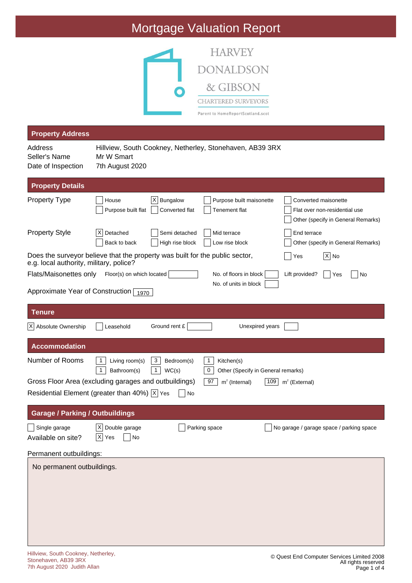### Mortgage Valuation Report



| <b>Property Address</b>                        |                                                                                                                                                                                                             |
|------------------------------------------------|-------------------------------------------------------------------------------------------------------------------------------------------------------------------------------------------------------------|
| Address<br>Seller's Name<br>Date of Inspection | Hillview, South Cookney, Netherley, Stonehaven, AB39 3RX<br>Mr W Smart<br>7th August 2020                                                                                                                   |
| <b>Property Details</b>                        |                                                                                                                                                                                                             |
| <b>Property Type</b>                           | $ X $ Bungalow<br>House<br>Purpose built maisonette<br>Converted maisonette<br>Tenement flat<br>Flat over non-residential use<br>Purpose built flat<br>Converted flat<br>Other (specify in General Remarks) |
| <b>Property Style</b>                          | Detached<br>Semi detached<br>Mid terrace<br>End terrace<br>ΧI<br>Back to back<br>High rise block<br>Low rise block<br>Other (specify in General Remarks)                                                    |
| e.g. local authority, military, police?        | Does the surveyor believe that the property was built for the public sector,<br>$ X $ No<br>Yes                                                                                                             |
| Flats/Maisonettes only                         | Floor(s) on which located<br>No. of floors in block<br>Lift provided?<br>Yes<br>No                                                                                                                          |
| Approximate Year of Construction 1970          | No. of units in block                                                                                                                                                                                       |
| <b>Tenure</b>                                  |                                                                                                                                                                                                             |
| X Absolute Ownership                           | Ground rent £<br>Unexpired years<br>Leasehold                                                                                                                                                               |
| <b>Accommodation</b>                           |                                                                                                                                                                                                             |
| Number of Rooms                                | 3<br>1<br>Living room(s)<br>Bedroom(s)<br>1<br>Kitchen(s)<br>$\mathbf{1}$<br>Bathroom(s)<br>1<br>0<br>WC(s)<br>Other (Specify in General remarks)                                                           |
|                                                | Gross Floor Area (excluding garages and outbuildings)<br>97<br>$m2$ (Internal)<br>$m2$ (External)<br>109<br>Residential Element (greater than 40%) $\overline{X}$ Yes                                       |
|                                                | No                                                                                                                                                                                                          |
| <b>Garage / Parking / Outbuildings</b>         |                                                                                                                                                                                                             |
| $\Box$ Single garage<br>Available on site?     | $\overline{X}$ Double garage<br>No garage / garage space / parking space<br>Parking space<br>$\overline{X}$ Yes<br>$\overline{\phantom{a}}$ No                                                              |
| Permanent outbuildings:                        |                                                                                                                                                                                                             |
| No permanent outbuildings.                     |                                                                                                                                                                                                             |
|                                                |                                                                                                                                                                                                             |
|                                                |                                                                                                                                                                                                             |
|                                                |                                                                                                                                                                                                             |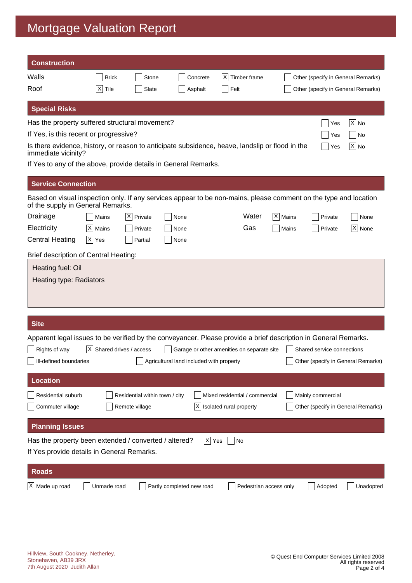### Mortgage Valuation Report

| <b>Construction</b>                                                                                                                                   |                              |                                                  |                                          |                                                           |                        |           |                                                         |                   |
|-------------------------------------------------------------------------------------------------------------------------------------------------------|------------------------------|--------------------------------------------------|------------------------------------------|-----------------------------------------------------------|------------------------|-----------|---------------------------------------------------------|-------------------|
| Walls                                                                                                                                                 | <b>Brick</b>                 | Stone                                            | Concrete                                 | X<br>Timber frame                                         |                        |           | Other (specify in General Remarks)                      |                   |
| Roof                                                                                                                                                  | X <br>Tile                   | Slate                                            | Asphalt                                  | Felt                                                      |                        |           | Other (specify in General Remarks)                      |                   |
| <b>Special Risks</b>                                                                                                                                  |                              |                                                  |                                          |                                                           |                        |           |                                                         |                   |
| Has the property suffered structural movement?                                                                                                        |                              |                                                  |                                          |                                                           |                        |           | Yes                                                     | $ \mathsf{X} $ No |
| If Yes, is this recent or progressive?<br>Yes<br>No                                                                                                   |                              |                                                  |                                          |                                                           |                        |           |                                                         |                   |
| Is there evidence, history, or reason to anticipate subsidence, heave, landslip or flood in the<br> X  No<br>Yes<br>immediate vicinity?               |                              |                                                  |                                          |                                                           |                        |           |                                                         |                   |
| If Yes to any of the above, provide details in General Remarks.                                                                                       |                              |                                                  |                                          |                                                           |                        |           |                                                         |                   |
| <b>Service Connection</b>                                                                                                                             |                              |                                                  |                                          |                                                           |                        |           |                                                         |                   |
| Based on visual inspection only. If any services appear to be non-mains, please comment on the type and location<br>of the supply in General Remarks. |                              |                                                  |                                          |                                                           |                        |           |                                                         |                   |
| Drainage                                                                                                                                              | Mains                        | X <br>Private                                    | None                                     |                                                           | Water                  | X   Mains | Private                                                 | None              |
| Electricity                                                                                                                                           | X Mains                      | Private                                          | None                                     |                                                           | Gas                    | Mains     | Private                                                 | X None            |
| <b>Central Heating</b>                                                                                                                                | $ X $ Yes                    | Partial                                          | None                                     |                                                           |                        |           |                                                         |                   |
| Brief description of Central Heating:                                                                                                                 |                              |                                                  |                                          |                                                           |                        |           |                                                         |                   |
| Heating fuel: Oil<br>Heating type: Radiators                                                                                                          |                              |                                                  |                                          |                                                           |                        |           |                                                         |                   |
| <b>Site</b>                                                                                                                                           |                              |                                                  |                                          |                                                           |                        |           |                                                         |                   |
| Apparent legal issues to be verified by the conveyancer. Please provide a brief description in General Remarks.                                       |                              |                                                  |                                          |                                                           |                        |           |                                                         |                   |
| Rights of way                                                                                                                                         | $ X $ Shared drives / access |                                                  |                                          | Garage or other amenities on separate site                |                        |           | Shared service connections                              |                   |
| III-defined boundaries                                                                                                                                |                              |                                                  | Agricultural land included with property |                                                           |                        |           | Other (specify in General Remarks)                      |                   |
| <b>Location</b>                                                                                                                                       |                              |                                                  |                                          |                                                           |                        |           |                                                         |                   |
| Residential suburb<br>Commuter village                                                                                                                |                              | Residential within town / city<br>Remote village | X                                        | Mixed residential / commercial<br>Isolated rural property |                        |           | Mainly commercial<br>Other (specify in General Remarks) |                   |
| <b>Planning Issues</b>                                                                                                                                |                              |                                                  |                                          |                                                           |                        |           |                                                         |                   |
| Has the property been extended / converted / altered?<br>If Yes provide details in General Remarks.                                                   |                              |                                                  |                                          | $ \overline{X} $ Yes<br>  No                              |                        |           |                                                         |                   |
| <b>Roads</b>                                                                                                                                          |                              |                                                  |                                          |                                                           |                        |           |                                                         |                   |
| X Made up road                                                                                                                                        | Unmade road                  |                                                  | Partly completed new road                |                                                           | Pedestrian access only |           | Adopted                                                 | Unadopted         |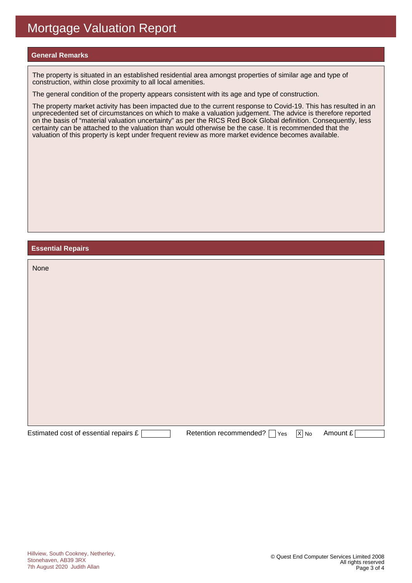#### **General Remarks**

The property is situated in an established residential area amongst properties of similar age and type of construction, within close proximity to all local amenities.

The general condition of the property appears consistent with its age and type of construction.

The property market activity has been impacted due to the current response to Covid-19. This has resulted in an unprecedented set of circumstances on which to make a valuation judgement. The advice is therefore reported on the basis of "material valuation uncertainty" as per the RICS Red Book Global definition. Consequently, less certainty can be attached to the valuation than would otherwise be the case. It is recommended that the valuation of this property is kept under frequent review as more market evidence becomes available.

#### **Essential Repairs**

| None                                  |                               |                   |          |
|---------------------------------------|-------------------------------|-------------------|----------|
|                                       |                               |                   |          |
|                                       |                               |                   |          |
|                                       |                               |                   |          |
|                                       |                               |                   |          |
|                                       |                               |                   |          |
|                                       |                               |                   |          |
|                                       |                               |                   |          |
| Estimated cost of essential repairs £ | Retention recommended?<br>Yes | $\overline{X}$ No | Amount £ |